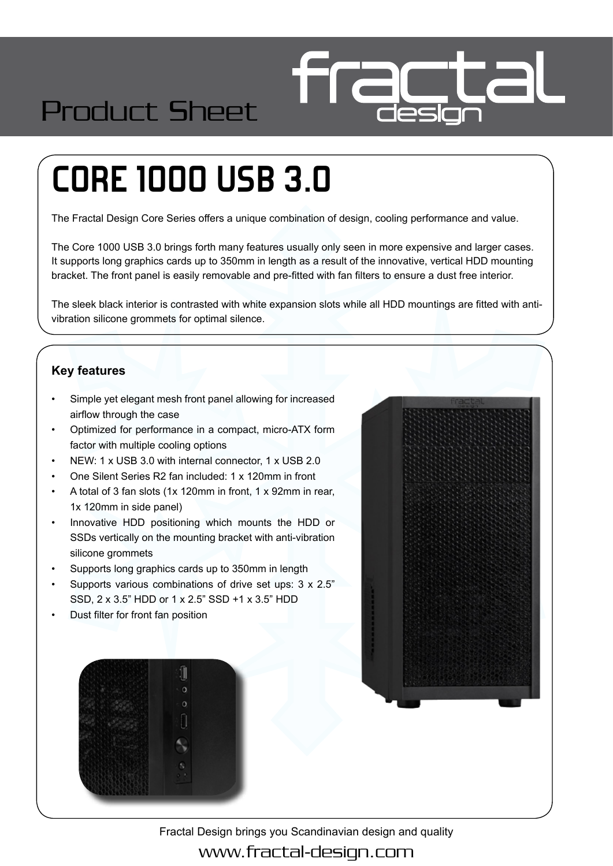

## Product Sheet

# **CORE 1000 USB 3.0**

The Fractal Design Core Series offers a unique combination of design, cooling performance and value.

The Core 1000 USB 3.0 brings forth many features usually only seen in more expensive and larger cases. It supports long graphics cards up to 350mm in length as a result of the innovative, vertical HDD mounting bracket. The front panel is easily removable and pre-fitted with fan filters to ensure a dust free interior.

The sleek black interior is contrasted with white expansion slots while all HDD mountings are fitted with antivibration silicone grommets for optimal silence.

#### **Key features**

- Simple yet elegant mesh front panel allowing for increased airflow through the case
- Optimized for performance in a compact, micro-ATX form factor with multiple cooling options
- NEW: 1 x USB 3.0 with internal connector, 1 x USB 2.0
- One Silent Series R2 fan included: 1 x 120mm in front
- A total of 3 fan slots (1x 120mm in front, 1 x 92mm in rear, 1x 120mm in side panel)
- Innovative HDD positioning which mounts the HDD or SSDs vertically on the mounting bracket with anti-vibration silicone grommets
- Supports long graphics cards up to 350mm in length
- Supports various combinations of drive set ups:  $3 \times 2.5$ " SSD, 2 x 3.5" HDD or 1 x 2.5" SSD +1 x 3.5" HDD
- Dust filter for front fan position





Fractal Design brings you Scandinavian design and quality www.fractal-design.com